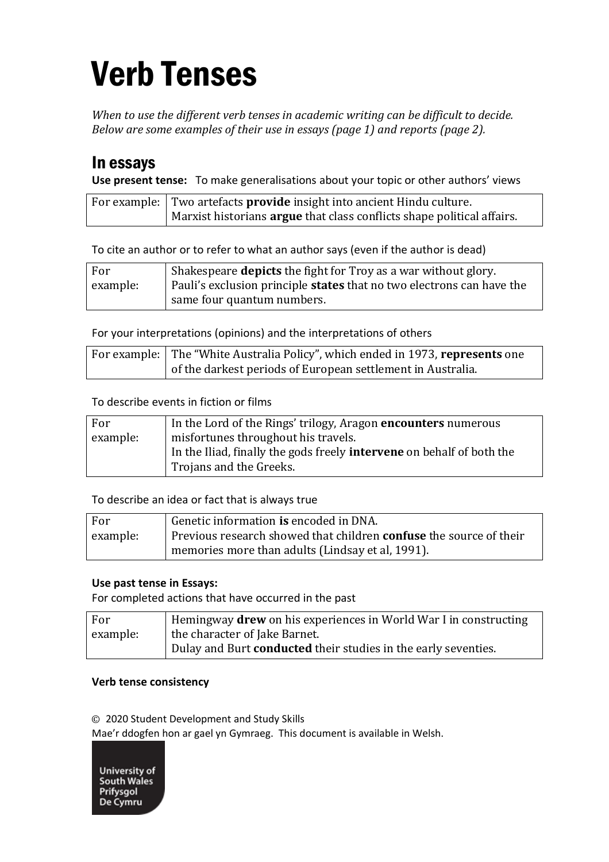# Verb Tenses

*When to use the different verb tenses in academic writing can be difficult to decide. Below are some examples of their use in essays (page 1) and reports (page 2).*

## In essays

**Use present tense:** To make generalisations about your topic or other authors' views

| For example:   Two artefacts <b>provide</b> insight into ancient Hindu culture. |
|---------------------------------------------------------------------------------|
| Marxist historians <b>argue</b> that class conflicts shape political affairs.   |

To cite an author or to refer to what an author says (even if the author is dead)

| For      | Shakespeare <b>depicts</b> the fight for Troy as a war without glory.        |
|----------|------------------------------------------------------------------------------|
| example: | Pauli's exclusion principle <b>states</b> that no two electrons can have the |
|          | same four quantum numbers.                                                   |

For your interpretations (opinions) and the interpretations of others

| For example: The "White Australia Policy", which ended in 1973, represents one |
|--------------------------------------------------------------------------------|
| of the darkest periods of European settlement in Australia.                    |

To describe events in fiction or films

| For      | In the Lord of the Rings' trilogy, Aragon <b>encounters</b> numerous         |
|----------|------------------------------------------------------------------------------|
| example: | misfortunes throughout his travels.                                          |
|          | In the Iliad, finally the gods freely <b>intervene</b> on behalf of both the |
|          | Trojans and the Greeks.                                                      |

To describe an idea or fact that is always true

| For      | Genetic information is encoded in DNA.                                    |
|----------|---------------------------------------------------------------------------|
| example: | Previous research showed that children <b>confuse</b> the source of their |
|          | memories more than adults (Lindsay et al, 1991).                          |

#### **Use past tense in Essays:**

For completed actions that have occurred in the past

| For      | Hemingway <b>drew</b> on his experiences in World War I in constructing |
|----------|-------------------------------------------------------------------------|
| example: | the character of Jake Barnet.                                           |
|          | Dulay and Burt <b>conducted</b> their studies in the early seventies.   |

#### **Verb tense consistency**

© 2020 Student Development and Study Skills

Mae'r ddogfen hon ar gael yn Gymraeg. This document is available in Welsh.

University of **South Wales** Prifysgol De Cymru